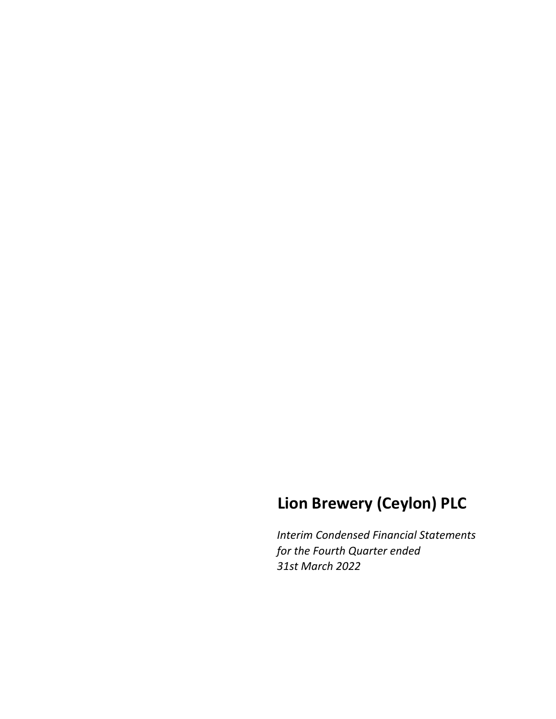# **Lion Brewery (Ceylon) PLC**

*Interim Condensed Financial Statements for the Fourth Quarter ended 31st March 2022*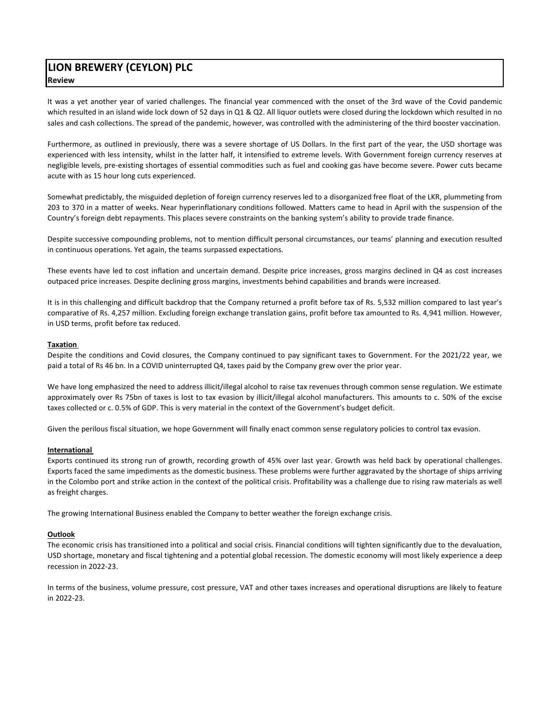# **LION BREWERY (CEYLON) PLC Review**

It was a yet another year of varied challenges. The financial year commenced with the onset of the 3rd wave of the Covid pandemic which resulted in an island wide lock down of 52 days in Q1 & Q2. All liquor outlets were closed during the lockdown which resulted in no sales and cash collections. The spread of the pandemic, however, was controlled with the administering of the third booster vaccination.

Furthermore, as outlined in previously, there was a severe shortage of US Dollars. In the first part of the year, the USD shortage was experienced with less intensity, whilst in the latter half, it intensified to extreme levels. With Government foreign currency reserves at negligible levels, pre‐existing shortages of essential commodities such as fuel and cooking gas have become severe. Power cuts became acute with as 15 hour long cuts experienced.

Somewhat predictably, the misguided depletion of foreign currency reserves led to a disorganized free float of the LKR, plummeting from 203 to 370 in a matter of weeks. Near hyperinflationary conditions followed. Matters came to head in April with the suspension of the Country's foreign debt repayments. This places severe constraints on the banking system's ability to provide trade finance.

Despite successive compounding problems, not to mention difficult personal circumstances, our teams' planning and execution resulted in continuous operations. Yet again, the teams surpassed expectations.

These events have led to cost inflation and uncertain demand. Despite price increases, gross margins declined in Q4 as cost increases outpaced price increases. Despite declining gross margins, investments behind capabilities and brands were increased.

It is in this challenging and difficult backdrop that the Company returned a profit before tax of Rs. 5,532 million compared to last year's comparative of Rs. 4,257 million. Excluding foreign exchange translation gains, profit before tax amounted to Rs. 4,941 million. However, in USD terms, profit before tax reduced.

### **Taxation**

Despite the conditions and Covid closures, the Company continued to pay significant taxes to Government. For the 2021/22 year, we paid a total of Rs 46 bn. In a COVID uninterrupted Q4, taxes paid by the Company grew over the prior year.

We have long emphasized the need to address illicit/illegal alcohol to raise tax revenues through common sense regulation. We estimate approximately over Rs 75bn of taxes is lost to tax evasion by illicit/illegal alcohol manufacturers. This amounts to c. 50% of the excise taxes collected or c. 0.5% of GDP. This is very material in the context of the Government's budget deficit.

Given the perilous fiscal situation, we hope Government will finally enact common sense regulatory policies to control tax evasion.

#### **International**

Exports continued its strong run of growth, recording growth of 45% over last year. Growth was held back by operational challenges. Exports faced the same impediments as the domestic business. These problems were further aggravated by the shortage of ships arriving in the Colombo port and strike action in the context of the political crisis. Profitability was a challenge due to rising raw materials as well as freight charges.

The growing International Business enabled the Company to better weather the foreign exchange crisis.

#### **Outlook**

The economic crisis has transitioned into a political and social crisis. Financial conditions will tighten significantly due to the devaluation, USD shortage, monetary and fiscal tightening and a potential global recession. The domestic economy will most likely experience a deep recession in 2022‐23.

In terms of the business, volume pressure, cost pressure, VAT and other taxes increases and operational disruptions are likely to feature in 2022‐23.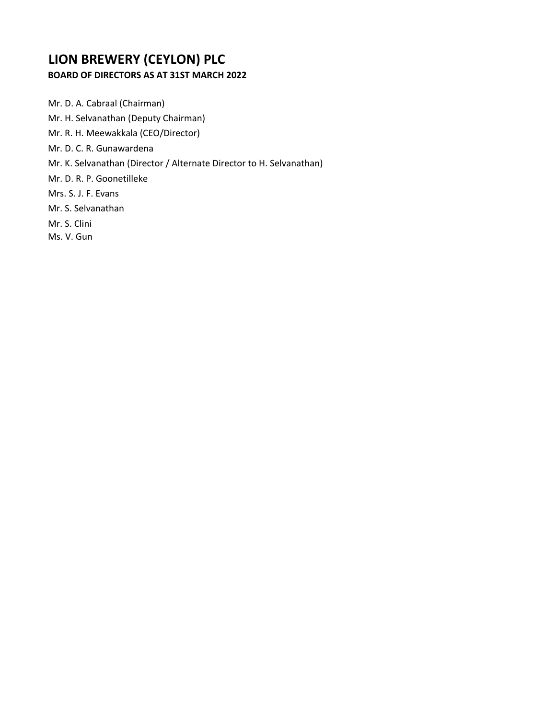# **BOARD OF DIRECTORS AS AT 31ST MARCH 2022**

Mr. D. A. Cabraal (Chairman)

- Mr. H. Selvanathan (Deputy Chairman)
- Mr. R. H. Meewakkala (CEO/Director)
- Mr. D. C. R. Gunawardena
- Mr. K. Selvanathan (Director / Alternate Director to H. Selvanathan)
- Mr. D. R. P. Goonetilleke
- Mrs. S. J. F. Evans
- Mr. S. Selvanathan
- Mr. S. Clini
- Ms. V. Gun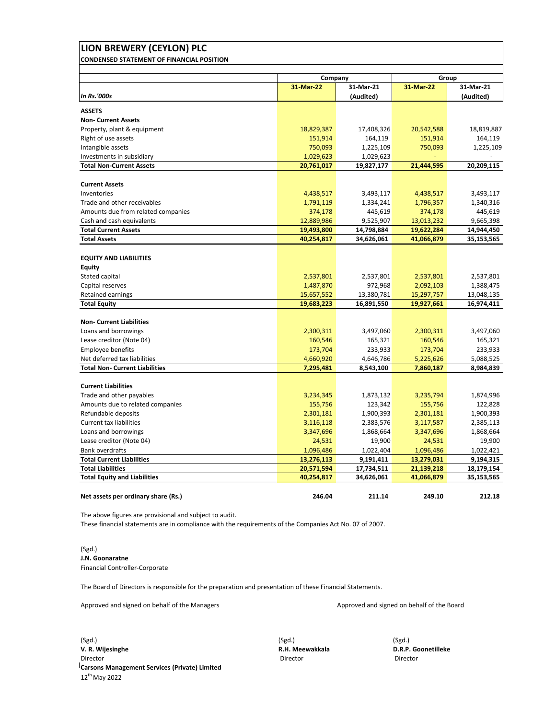| LION BREWERY (CEYLON) PLC                        |                     |                        |                     |                        |
|--------------------------------------------------|---------------------|------------------------|---------------------|------------------------|
| <b>CONDENSED STATEMENT OF FINANCIAL POSITION</b> |                     |                        |                     |                        |
|                                                  |                     |                        |                     |                        |
|                                                  | Company             |                        |                     | Group                  |
| <b>In Rs.'000s</b>                               | 31-Mar-22           | 31-Mar-21<br>(Audited) | 31-Mar-22           | 31-Mar-21<br>(Audited) |
| <b>ASSETS</b>                                    |                     |                        |                     |                        |
| <b>Non- Current Assets</b>                       |                     |                        |                     |                        |
| Property, plant & equipment                      | 18,829,387          | 17,408,326             | 20,542,588          | 18,819,887             |
| Right of use assets                              | 151,914             | 164,119                | 151,914             | 164,119                |
| Intangible assets                                | 750,093             | 1,225,109              | 750,093             | 1,225,109              |
| Investments in subsidiary                        | 1,029,623           | 1,029,623              |                     |                        |
| <b>Total Non-Current Assets</b>                  | 20,761,017          | 19,827,177             | 21,444,595          | 20,209,115             |
| <b>Current Assets</b>                            |                     |                        |                     |                        |
| Inventories                                      | 4,438,517           | 3,493,117              | 4,438,517           | 3,493,117              |
| Trade and other receivables                      | 1,791,119           | 1,334,241              | 1,796,357           | 1,340,316              |
| Amounts due from related companies               | 374,178             | 445,619                | 374,178             | 445,619                |
| Cash and cash equivalents                        | 12,889,986          | 9,525,907              | 13,013,232          | 9,665,398              |
| <b>Total Current Assets</b>                      | 19,493,800          | 14,798,884             | 19,622,284          | 14,944,450             |
| <b>Total Assets</b>                              | 40,254,817          | 34,626,061             | 41,066,879          | 35,153,565             |
|                                                  |                     |                        |                     |                        |
| <b>EQUITY AND LIABILITIES</b>                    |                     |                        |                     |                        |
| <b>Equity</b>                                    |                     |                        |                     |                        |
| Stated capital                                   | 2,537,801           | 2,537,801              | 2,537,801           | 2,537,801              |
| Capital reserves                                 | 1,487,870           | 972,968                | 2,092,103           | 1,388,475              |
| Retained earnings                                | 15,657,552          | 13,380,781             | 15,297,757          | 13,048,135             |
| <b>Total Equity</b>                              | 19,683,223          | 16,891,550             | 19,927,661          | 16,974,411             |
| <b>Non- Current Liabilities</b>                  |                     |                        |                     |                        |
| Loans and borrowings                             | 2,300,311           | 3,497,060              | 2,300,311           | 3,497,060              |
| Lease creditor (Note 04)                         | 160,546             | 165,321                | 160,546             | 165,321                |
| <b>Employee benefits</b>                         | 173,704             | 233,933                | 173,704             | 233,933                |
| Net deferred tax liabilities                     | 4,660,920           | 4,646,786              | 5,225,626           | 5,088,525              |
| <b>Total Non- Current Liabilities</b>            | 7,295,481           | 8,543,100              | 7,860,187           | 8,984,839              |
| <b>Current Liabilities</b>                       |                     |                        |                     |                        |
| Trade and other payables                         | 3,234,345           | 1,873,132              | 3,235,794           | 1,874,996              |
| Amounts due to related companies                 | 155,756             | 123,342                | 155,756             | 122,828                |
| Refundable deposits                              | 2,301,181           | 1,900,393              | 2,301,181           | 1,900,393              |
| <b>Current tax liabilities</b>                   | 3,116,118           | 2,383,576              | 3,117,587           | 2,385,113              |
|                                                  |                     |                        |                     |                        |
| Loans and borrowings<br>Lease creditor (Note 04) | 3,347,696           | 1,868,664<br>19,900    | 3,347,696           | 1,868,664<br>19,900    |
| <b>Bank overdrafts</b>                           | 24,531<br>1,096,486 | 1,022,404              | 24,531<br>1,096,486 | 1,022,421              |
| <b>Total Current Liabilities</b>                 | 13,276,113          | 9,191,411              | 13,279,031          | 9,194,315              |
| <b>Total Liabilities</b>                         | 20,571,594          | 17,734,511             | 21,139,218          | 18,179,154             |
| <b>Total Equity and Liabilities</b>              | 40,254,817          | 34,626,061             | 41,066,879          | 35,153,565             |
|                                                  |                     |                        |                     |                        |
| Net assets per ordinary share (Rs.)              | 246.04              | 211.14                 | 249.10              | 212.18                 |

The above figures are provisional and subject to audit.

These financial statements are in compliance with the requirements of the Companies Act No. 07 of 2007.

(Sgd.) **J.N. Goonaratne** Financial Controller‐Corporate

The Board of Directors is responsible for the preparation and presentation of these Financial Statements.

Approved and signed on behalf of the Managers Approved and signed on behalf of the Board

(Sgd.) (Sgd.) (Sgd.) **V. R. Wijesinghe R.H. Meewakkala D.R.P. Goonetilleke** Director Director Director **Carsons Management Services (Private) Limited** 12th May 2022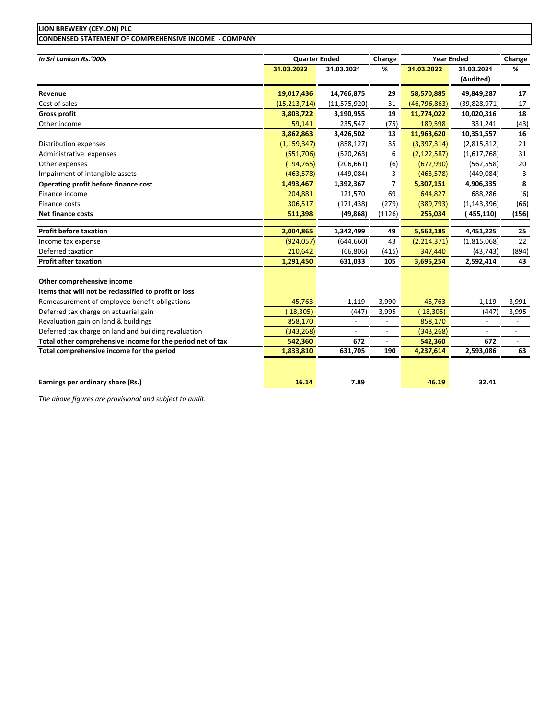# **LION BREWERY (CEYLON) PLC CONDENSED STATEMENT OF COMPREHENSIVE INCOME ‐ COMPANY**

| In Sri Lankan Rs.'000s                                     | <b>Quarter Ended</b> |                          | Change         | <b>Year Ended</b> |                          | Change                   |
|------------------------------------------------------------|----------------------|--------------------------|----------------|-------------------|--------------------------|--------------------------|
|                                                            | 31.03.2022           | 31.03.2021               | %              | 31.03.2022        | 31.03.2021               | %                        |
|                                                            |                      |                          |                |                   | (Audited)                |                          |
| Revenue                                                    | 19,017,436           | 14,766,875               | 29             | 58,570,885        | 49,849,287               | 17                       |
| Cost of sales                                              | (15, 213, 714)       | (11, 575, 920)           | 31             | (46, 796, 863)    | (39,828,971)             | 17                       |
| <b>Gross profit</b>                                        | 3,803,722            | 3,190,955                | 19             | 11,774,022        | 10,020,316               | 18                       |
| Other income                                               | 59,141               | 235,547                  | (75)           | 189,598           | 331,241                  | (43)                     |
|                                                            | 3,862,863            | 3,426,502                | 13             | 11,963,620        | 10,351,557               | 16                       |
| Distribution expenses                                      | (1, 159, 347)        | (858, 127)               | 35             | (3,397,314)       | (2,815,812)              | 21                       |
| Administrative expenses                                    | (551,706)            | (520, 263)               | 6              | (2, 122, 587)     | (1,617,768)              | 31                       |
| Other expenses                                             | (194, 765)           | (206, 661)               | (6)            | (672,990)         | (562, 558)               | 20                       |
| Impairment of intangible assets                            | (463, 578)           | (449, 084)               | 3              | (463, 578)        | (449, 084)               | 3                        |
| Operating profit before finance cost                       | 1,493,467            | 1,392,367                | 7              | 5,307,151         | 4,906,335                | 8                        |
| Finance income                                             | 204,881              | 121,570                  | 69             | 644,827           | 688,286                  | (6)                      |
| Finance costs                                              | 306,517              | (171, 438)               | (279)          | (389, 793)        | (1, 143, 396)            | (66)                     |
| <b>Net finance costs</b>                                   | 511,398              | (49, 868)                | (1126)         | 255,034           | (455,110)                | (156)                    |
| <b>Profit before taxation</b>                              | 2,004,865            | 1,342,499                | 49             | 5,562,185         | 4,451,225                | 25                       |
| Income tax expense                                         | (924, 057)           | (644, 660)               | 43             | (2, 214, 371)     | (1,815,068)              | 22                       |
| Deferred taxation                                          | 210,642              | (66, 806)                | (415)          | 347,440           | (43, 743)                | (894)                    |
| <b>Profit after taxation</b>                               | 1,291,450            | 631,033                  | 105            | 3,695,254         | 2,592,414                | 43                       |
| Other comprehensive income                                 |                      |                          |                |                   |                          |                          |
| Items that will not be reclassified to profit or loss      |                      |                          |                |                   |                          |                          |
| Remeasurement of employee benefit obligations              | 45,763               | 1,119                    | 3,990          | 45,763            | 1,119                    | 3,991                    |
| Deferred tax charge on actuarial gain                      | (18, 305)            | (447)                    | 3,995          | (18, 305)         | (447)                    | 3,995                    |
| Revaluation gain on land & buildings                       | 858,170              | $\overline{\phantom{a}}$ |                | 858,170           | $\overline{\phantom{a}}$ | $\overline{\phantom{a}}$ |
| Deferred tax charge on land and building revaluation       | (343, 268)           |                          | $\overline{a}$ | (343, 268)        |                          | $\overline{a}$           |
| Total other comprehensive income for the period net of tax | 542,360              | 672                      | $\blacksquare$ | 542,360           | 672                      | $\overline{\phantom{0}}$ |
| Total comprehensive income for the period                  | 1,833,810            | 631,705                  | 190            | 4,237,614         | 2,593,086                | 63                       |
|                                                            |                      |                          |                |                   |                          |                          |
| Earnings per ordinary share (Rs.)                          | 16.14                | 7.89                     |                | 46.19             | 32.41                    |                          |

*The above figures are provisional and subject to audit.*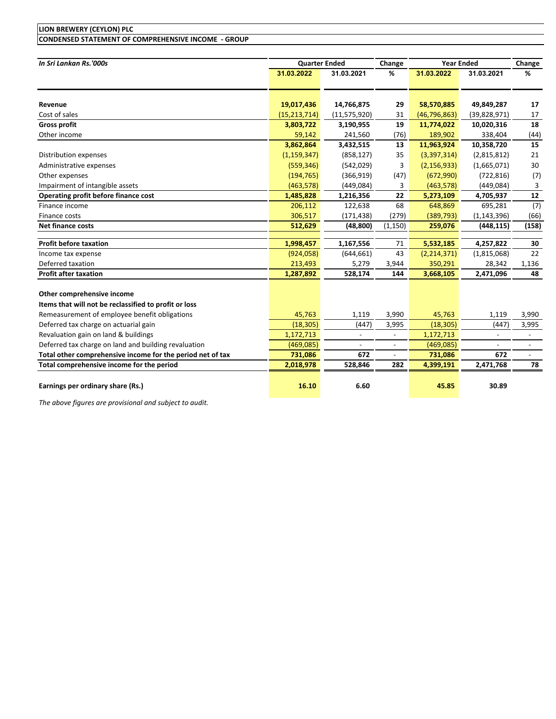# **CONDENSED STATEMENT OF COMPREHENSIVE INCOME ‐ GROUP**

| In Sri Lankan Rs.'000s                                     |                | <b>Quarter Ended</b>     | Change                   | <b>Year Ended</b> |                          | Change                   |  |
|------------------------------------------------------------|----------------|--------------------------|--------------------------|-------------------|--------------------------|--------------------------|--|
|                                                            | 31.03.2022     | 31.03.2021               | %                        | 31.03.2022        | 31.03.2021               | %                        |  |
|                                                            |                |                          |                          |                   |                          |                          |  |
| Revenue                                                    | 19,017,436     | 14,766,875               | 29                       | 58,570,885        | 49,849,287               | 17                       |  |
| Cost of sales                                              | (15, 213, 714) | (11, 575, 920)           | 31                       | (46, 796, 863)    | (39,828,971)             | 17                       |  |
| <b>Gross profit</b>                                        | 3,803,722      | 3,190,955                | 19                       | 11,774,022        | 10,020,316               | 18                       |  |
| Other income                                               | 59,142         | 241,560                  | (76)                     | 189,902           | 338,404                  | (44)                     |  |
|                                                            | 3,862,864      | 3,432,515                | 13                       | 11,963,924        | 10,358,720               | 15                       |  |
| Distribution expenses                                      | (1, 159, 347)  | (858, 127)               | 35                       | (3,397,314)       | (2,815,812)              | 21                       |  |
| Administrative expenses                                    | (559, 346)     | (542, 029)               | 3                        | (2, 156, 933)     | (1,665,071)              | 30                       |  |
| Other expenses                                             | (194, 765)     | (366, 919)               | (47)                     | (672,990)         | (722, 816)               | (7)                      |  |
| Impairment of intangible assets                            | (463, 578)     | (449,084)                | 3                        | (463, 578)        | (449,084)                | 3                        |  |
| Operating profit before finance cost                       | 1,485,828      | 1,216,356                | 22                       | 5,273,109         | 4,705,937                | 12                       |  |
| Finance income                                             | 206,112        | 122,638                  | 68                       | 648,869           | 695,281                  | (7)                      |  |
| Finance costs                                              | 306,517        | (171, 438)               | (279)                    | (389, 793)        | (1, 143, 396)            | (66)                     |  |
| <b>Net finance costs</b>                                   | 512,629        | (48, 800)                | (1, 150)                 | 259,076           | (448, 115)               | (158)                    |  |
| <b>Profit before taxation</b>                              | 1,998,457      | 1,167,556                | 71                       | 5,532,185         | 4,257,822                | 30                       |  |
| Income tax expense                                         | (924, 058)     | (644, 661)               | 43                       | (2, 214, 371)     | (1,815,068)              | 22                       |  |
| Deferred taxation                                          | 213,493        | 5,279                    | 3,944                    | 350,291           | 28,342                   | 1,136                    |  |
| <b>Profit after taxation</b>                               | 1,287,892      | 528,174                  | 144                      | 3,668,105         | 2,471,096                | 48                       |  |
|                                                            |                |                          |                          |                   |                          |                          |  |
| Other comprehensive income                                 |                |                          |                          |                   |                          |                          |  |
| Items that will not be reclassified to profit or loss      |                |                          |                          |                   |                          |                          |  |
| Remeasurement of employee benefit obligations              | 45,763         | 1,119                    | 3,990                    | 45,763            | 1,119                    | 3,990                    |  |
| Deferred tax charge on actuarial gain                      | (18, 305)      | (447)                    | 3,995                    | (18, 305)         | (447)                    | 3,995                    |  |
| Revaluation gain on land & buildings                       | 1,172,713      |                          | $\overline{a}$           | 1,172,713         | $\blacksquare$           | $\blacksquare$           |  |
| Deferred tax charge on land and building revaluation       | (469, 085)     | $\overline{\phantom{a}}$ | $\overline{\phantom{a}}$ | (469,085)         | $\overline{\phantom{a}}$ | $\overline{\phantom{a}}$ |  |
| Total other comprehensive income for the period net of tax | 731,086        | 672                      | $\overline{\phantom{a}}$ | 731,086           | 672                      | $\overline{\phantom{a}}$ |  |
| Total comprehensive income for the period                  | 2,018,978      | 528,846                  | 282                      | 4,399,191         | 2,471,768                | 78                       |  |
| Earnings per ordinary share (Rs.)                          | 16.10          | 6.60                     |                          | 45.85             | 30.89                    |                          |  |

*The above figures are provisional and subject to audit.*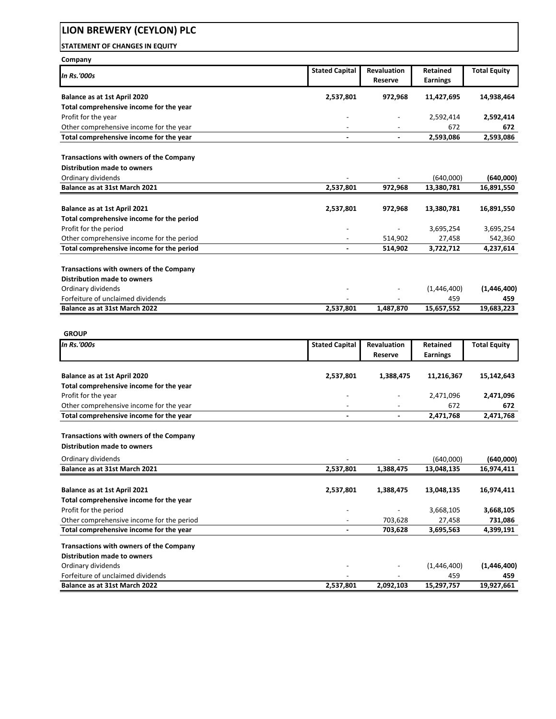### **STATEMENT OF CHANGES IN EQUITY**

| Company                                                                       |                          |                          |                 |                     |
|-------------------------------------------------------------------------------|--------------------------|--------------------------|-----------------|---------------------|
| In Rs.'000s                                                                   | <b>Stated Capital</b>    | <b>Revaluation</b>       | Retained        | <b>Total Equity</b> |
|                                                                               |                          | Reserve                  | <b>Earnings</b> |                     |
| Balance as at 1st April 2020                                                  | 2,537,801                | 972,968                  | 11,427,695      | 14,938,464          |
| Total comprehensive income for the year                                       |                          |                          |                 |                     |
| Profit for the year                                                           |                          |                          | 2,592,414       | 2,592,414           |
| Other comprehensive income for the year                                       |                          |                          | 672             | 672                 |
| Total comprehensive income for the year                                       |                          |                          | 2,593,086       | 2,593,086           |
|                                                                               |                          |                          |                 |                     |
| <b>Transactions with owners of the Company</b>                                |                          |                          |                 |                     |
| <b>Distribution made to owners</b>                                            |                          |                          |                 |                     |
| Ordinary dividends                                                            |                          |                          | (640,000)       | (640,000)           |
| Balance as at 31st March 2021                                                 | 2,537,801                | 972,968                  | 13,380,781      | 16,891,550          |
|                                                                               |                          |                          |                 |                     |
| Balance as at 1st April 2021                                                  | 2,537,801                | 972,968                  | 13,380,781      | 16,891,550          |
| Total comprehensive income for the period                                     |                          |                          |                 |                     |
| Profit for the period                                                         |                          | $\overline{\phantom{a}}$ | 3,695,254       | 3,695,254           |
| Other comprehensive income for the period                                     |                          | 514,902                  | 27,458          | 542,360             |
| Total comprehensive income for the period                                     | $\overline{\phantom{a}}$ | 514,902                  | 3,722,712       | 4,237,614           |
|                                                                               |                          |                          |                 |                     |
| Transactions with owners of the Company                                       |                          |                          |                 |                     |
| <b>Distribution made to owners</b>                                            |                          |                          |                 |                     |
| Ordinary dividends                                                            |                          |                          | (1,446,400)     | (1,446,400)         |
| Forfeiture of unclaimed dividends                                             |                          |                          | 459             | 459                 |
| Balance as at 31st March 2022                                                 | 2,537,801                | 1,487,870                | 15,657,552      | 19,683,223          |
|                                                                               |                          |                          |                 |                     |
|                                                                               |                          |                          |                 |                     |
| <b>GROUP</b><br><b>In Rs.'000s</b>                                            |                          | <b>Revaluation</b>       | Retained        |                     |
|                                                                               | <b>Stated Capital</b>    | Reserve                  | <b>Earnings</b> | <b>Total Equity</b> |
|                                                                               |                          |                          |                 |                     |
| Balance as at 1st April 2020                                                  | 2,537,801                | 1,388,475                | 11,216,367      | 15,142,643          |
| Total comprehensive income for the year                                       |                          |                          |                 |                     |
| Profit for the year                                                           |                          |                          | 2,471,096       | 2,471,096           |
| Other comprehensive income for the year                                       | $\overline{\phantom{a}}$ | $\overline{\phantom{a}}$ | 672             | 672                 |
| Total comprehensive income for the year                                       |                          |                          | 2,471,768       | 2,471,768           |
|                                                                               |                          |                          |                 |                     |
| <b>Transactions with owners of the Company</b>                                |                          |                          |                 |                     |
| <b>Distribution made to owners</b>                                            |                          |                          |                 |                     |
|                                                                               |                          |                          |                 |                     |
| Ordinary dividends                                                            |                          |                          | (640,000)       | (640,000)           |
| Balance as at 31st March 2021                                                 | 2,537,801                | 1,388,475                | 13,048,135      | 16,974,411          |
|                                                                               |                          |                          |                 |                     |
| Balance as at 1st April 2021                                                  | 2,537,801                | 1,388,475                | 13,048,135      | 16,974,411          |
| Total comprehensive income for the year                                       |                          |                          |                 |                     |
|                                                                               |                          |                          |                 |                     |
| Profit for the period                                                         |                          |                          | 3,668,105       | 3,668,105           |
| Other comprehensive income for the period                                     |                          | 703,628                  | 27,458          | 731,086             |
| Total comprehensive income for the year                                       |                          | 703,628                  | 3,695,563       | 4,399,191           |
|                                                                               |                          |                          |                 |                     |
| Transactions with owners of the Company<br><b>Distribution made to owners</b> |                          |                          |                 |                     |
| Ordinary dividends                                                            |                          |                          | (1,446,400)     | (1,446,400)         |
|                                                                               |                          |                          | 459             | 459                 |
| Forfeiture of unclaimed dividends<br>Balance as at 31st March 2022            | 2,537,801                | 2,092,103                | 15,297,757      | 19,927,661          |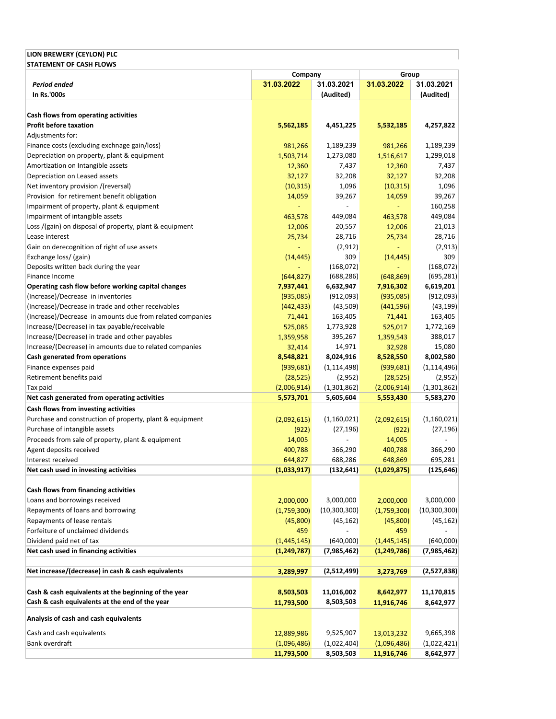### **LION BREWERY (CEYLON) PLC STATEMENT OF CASH FLOWS**

|                                                           | Company       |                | Group         |                |
|-----------------------------------------------------------|---------------|----------------|---------------|----------------|
| Period ended                                              | 31.03.2022    | 31.03.2021     | 31.03.2022    | 31.03.2021     |
| In Rs.'000s                                               |               | (Audited)      |               | (Audited)      |
|                                                           |               |                |               |                |
| Cash flows from operating activities                      |               |                |               |                |
| <b>Profit before taxation</b>                             | 5,562,185     | 4,451,225      | 5,532,185     | 4,257,822      |
| Adjustments for:                                          |               |                |               |                |
| Finance costs (excluding exchnage gain/loss)              | 981,266       | 1,189,239      | 981,266       | 1,189,239      |
| Depreciation on property, plant & equipment               | 1,503,714     | 1,273,080      | 1,516,617     | 1,299,018      |
| Amortization on Intangible assets                         | 12,360        | 7,437          | 12,360        | 7,437          |
| Depreciation on Leased assets                             | 32,127        | 32,208         | 32,127        | 32,208         |
| Net inventory provision /(reversal)                       | (10, 315)     | 1,096          | (10, 315)     | 1,096          |
| Provision for retirement benefit obligation               | 14,059        | 39,267         | 14,059        | 39,267         |
| Impairment of property, plant & equipment                 |               |                |               | 160,258        |
| Impairment of intangible assets                           | 463,578       | 449,084        | 463,578       | 449,084        |
| Loss /(gain) on disposal of property, plant & equipment   | 12,006        | 20,557         | 12,006        | 21,013         |
| Lease interest                                            | 25,734        | 28,716         | 25,734        | 28,716         |
| Gain on derecognition of right of use assets              |               | (2,912)        | $\Box$        | (2, 913)       |
| Exchange loss/ (gain)                                     | (14, 445)     | 309            | (14, 445)     | 309            |
| Deposits written back during the year                     |               | (168,072)      |               | (168, 072)     |
| Finance Income                                            | (644, 827)    | (688, 286)     | (648, 869)    | (695,281)      |
| Operating cash flow before working capital changes        | 7,937,441     | 6,632,947      | 7,916,302     | 6,619,201      |
| (Increase)/Decrease in inventories                        | (935,085)     | (912,093)      | (935,085)     | (912,093)      |
| (Increase)/Decrease in trade and other receivables        | (442, 433)    | (43,509)       | (441,596)     | (43, 199)      |
| (Increase)/Decrease in amounts due from related companies | 71,441        | 163,405        | 71,441        | 163,405        |
| Increase/(Decrease) in tax payable/receivable             | 525,085       | 1,773,928      | 525,017       | 1,772,169      |
| Increase/(Decrease) in trade and other payables           | 1,359,958     | 395,267        | 1,359,543     | 388,017        |
| Increase/(Decrease) in amounts due to related companies   | 32,414        | 14,971         | 32,928        | 15,080         |
| Cash generated from operations                            | 8,548,821     | 8,024,916      | 8,528,550     | 8,002,580      |
| Finance expenses paid                                     | (939, 681)    | (1, 114, 498)  | (939, 681)    | (1, 114, 496)  |
| Retirement benefits paid                                  | (28, 525)     | (2,952)        | (28, 525)     | (2,952)        |
| Tax paid                                                  | (2,006,914)   | (1,301,862)    | (2,006,914)   | (1,301,862)    |
| Net cash generated from operating activities              | 5,573,701     | 5,605,604      | 5,553,430     | 5,583,270      |
| Cash flows from investing activities                      |               |                |               |                |
| Purchase and construction of property, plant & equipment  | (2,092,615)   | (1,160,021)    | (2,092,615)   | (1,160,021)    |
| Purchase of intangible assets                             | (922)         | (27, 196)      | (922)         | (27, 196)      |
| Proceeds from sale of property, plant & equipment         | 14,005        |                | 14,005        |                |
| Agent deposits received                                   | 400,788       | 366,290        | 400,788       | 366,290        |
| Interest received                                         | 644,827       | 688,286        | 648,869       | 695,281        |
| Net cash used in investing activities                     | (1,033,917)   | (132, 641)     | (1,029,875)   | (125, 646)     |
|                                                           |               |                |               |                |
| Cash flows from financing activities                      |               |                |               |                |
| Loans and borrowings received                             | 2,000,000     | 3,000,000      | 2,000,000     | 3,000,000      |
| Repayments of loans and borrowing                         | (1,759,300)   | (10, 300, 300) | (1,759,300)   | (10, 300, 300) |
| Repayments of lease rentals                               | (45,800)      | (45, 162)      | (45,800)      | (45, 162)      |
| Forfeiture of unclaimed dividends                         | 459           |                | 459           |                |
| Dividend paid net of tax                                  | (1,445,145)   | (640,000)      | (1,445,145)   | (640,000)      |
| Net cash used in financing activities                     | (1, 249, 787) | (7, 985, 462)  | (1, 249, 786) | (7,985,462)    |
| Net increase/(decrease) in cash & cash equivalents        |               |                |               |                |
|                                                           | 3,289,997     | (2,512,499)    | 3,273,769     | (2,527,838)    |
| Cash & cash equivalents at the beginning of the year      |               | 11,016,002     |               | 11,170,815     |
| Cash & cash equivalents at the end of the year            | 8,503,503     |                | 8,642,977     |                |
|                                                           | 11,793,500    | 8,503,503      | 11,916,746    | 8,642,977      |
| Analysis of cash and cash equivalents                     |               |                |               |                |
| Cash and cash equivalents                                 | 12,889,986    | 9,525,907      | 13,013,232    | 9,665,398      |
| Bank overdraft                                            | (1,096,486)   | (1,022,404)    | (1,096,486)   | (1,022,421)    |
|                                                           | 11,793,500    | 8,503,503      | 11,916,746    | 8,642,977      |
|                                                           |               |                |               |                |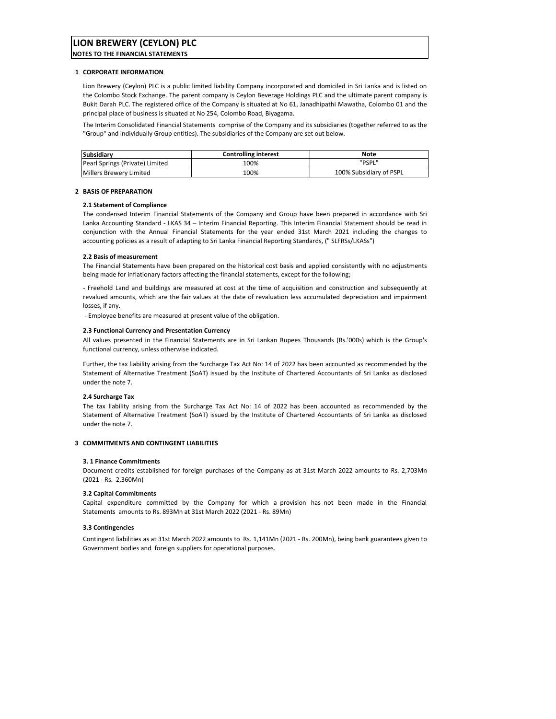**NOTES TO THE FINANCIAL STATEMENTS**

#### **1 CORPORATE INFORMATION**

Lion Brewery (Ceylon) PLC is a public limited liability Company incorporated and domiciled in Sri Lanka and is listed on the Colombo Stock Exchange. The parent company is Ceylon Beverage Holdings PLC and the ultimate parent company is Bukit Darah PLC. The registered office of the Company is situated at No 61, Janadhipathi Mawatha, Colombo 01 and the principal place of business is situated at No 254, Colombo Road, Biyagama.

The Interim Consolidated Financial Statements comprise of the Company and its subsidiaries (together referred to as the "Group" and individually Group entities). The subsidiaries of the Company are set out below.

| Subsidiary                      | <b>Controlling interest</b> | Note                    |
|---------------------------------|-----------------------------|-------------------------|
| Pearl Springs (Private) Limited | 100%                        | "PSPL"                  |
| Millers Brewery Limited         | 100%                        | 100% Subsidiary of PSPL |

#### **2 BASIS OF PREPARATION**

#### **2.1 Statement of Compliance**

The condensed Interim Financial Statements of the Company and Group have been prepared in accordance with Sri Lanka Accounting Standard ‐ LKAS 34 – Interim Financial Reporting. This Interim Financial Statement should be read in conjunction with the Annual Financial Statements for the year ended 31st March 2021 including the changes to accounting policies as a result of adapting to Sri Lanka Financial Reporting Standards, (" SLFRSs/LKASs")

#### **2.2 Basis of measurement**

The Financial Statements have been prepared on the historical cost basis and applied consistently with no adjustments being made for inflationary factors affecting the financial statements, except for the following;

‐ Freehold Land and buildings are measured at cost at the time of acquisition and construction and subsequently at revalued amounts, which are the fair values at the date of revaluation less accumulated depreciation and impairment losses, if any.

‐ Employee benefits are measured at present value of the obligation.

#### **2.3 Functional Currency and Presentation Currency**

All values presented in the Financial Statements are in Sri Lankan Rupees Thousands (Rs.'000s) which is the Group's functional currency, unless otherwise indicated.

Further, the tax liability arising from the Surcharge Tax Act No: 14 of 2022 has been accounted as recommended by the Statement of Alternative Treatment (SoAT) issued by the Institute of Chartered Accountants of Sri Lanka as disclosed under the note 7.

#### **2.4 Surcharge Tax**

The tax liability arising from the Surcharge Tax Act No: 14 of 2022 has been accounted as recommended by the Statement of Alternative Treatment (SoAT) issued by the Institute of Chartered Accountants of Sri Lanka as disclosed under the note 7.

#### **3 COMMITMENTS AND CONTINGENT LIABILITIES**

#### **3. 1 Finance Commitments**

Document credits established for foreign purchases of the Company as at 31st March 2022 amounts to Rs. 2,703Mn (2021 ‐ Rs. 2,360Mn)

#### **3.2 Capital Commitments**

Capital expenditure committed by the Company for which a provision has not been made in the Financial Statements amounts to Rs. 893Mn at 31st March 2022 (2021 ‐ Rs. 89Mn)

#### **3.3 Contingencies**

Contingent liabilities as at 31st March 2022 amounts to Rs. 1,141Mn (2021 ‐ Rs. 200Mn), being bank guarantees given to Government bodies and foreign suppliers for operational purposes.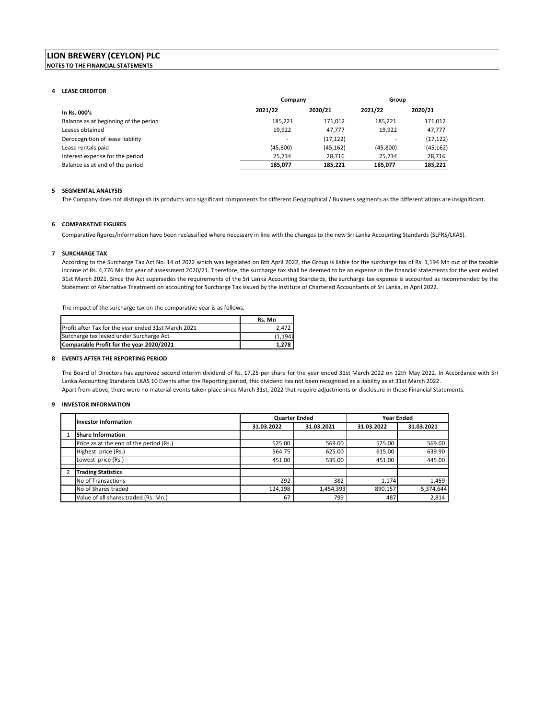#### **LION BREWERY (CEYLON) PLC NOTES TO THE FINANCIAL STATEMENTS**

#### **4 LEASE CREDITOR**

|                                       | Company  |           | Group    |           |
|---------------------------------------|----------|-----------|----------|-----------|
| In Rs. 000's                          | 2021/22  | 2020/21   | 2021/22  | 2020/21   |
| Balance as at beginning of the period | 185.221  | 171.012   | 185.221  | 171.012   |
| Leases obtained                       | 19,922   | 47,777    | 19,922   | 47,777    |
| Derocognition of lease liability      |          | (17, 122) |          | (17, 122) |
| Lease rentals paid                    | (45,800) | (45, 162) | (45,800) | (45, 162) |
| Interest expense for the period       | 25.734   | 28.716    | 25.734   | 28,716    |
| Balance as at end of the period       | 185.077  | 185.221   | 185.077  | 185,221   |

#### **5 SEGMENTAL ANALYSIS**

The Company does not distinguish its products into significant components for different Geographical / Business segments as the differentiations are insignificant.

#### **6 COMPARATIVE FIGURES**

Comparative figures/information have been reclassified where necessary in line with the changes to the new Sri Lanka Accounting Standards (SLFRS/LKAS).

#### **7 SURCHARGE TAX**

According to the Surcharge Tax Act No. 14 of 2022 which was legislated on 8th April 2022, the Group is liable for the surcharge tax of Rs. 1,194 Mn out of the taxable income of Rs. 4,776 Mn for year of assessment 2020/21. Therefore, the surcharge tax shall be deemed to be an expense in the financial statements for the year ended 31st March 2021. Since the Act supersedes the requirements of the Sri Lanka Accounting Standards, the surcharge tax expense is accounted as recommended by the Statement of Alternative Treatment on accounting for Surcharge Tax issued by the Institute of Chartered Accountants of Sri Lanka, in April 2022.

The impact of the surcharge tax on the comparative year is as follows,

|                                                     | Rs. Mn   |
|-----------------------------------------------------|----------|
| Profit after Tax for the year ended 31st March 2021 | 2.472    |
| Surcharge tax levied under Surcharge Act            | (1, 194) |
| Comparable Profit for the year 2020/2021            | 1.278    |

#### **8 EVENTS AFTER THE REPORTING PERIOD**

The Board of Directors has approved second interim dividend of Rs. 17.25 per share for the year ended 31st March 2022 on 12th May 2022. In Accordance with Sri Lanka Accounting Standards LKAS 10 Events after the Reporting period, this dividend has not been recognised as a liability as at 31st March 2022. Apart from above, there were no material events taken place since March 31st, 2022 that require adjustments or disclosure in these Financial Statements.

#### **9 INVESTOR INFORMATION**

| <b>Investor Information</b>             |            | <b>Quarter Ended</b> |            | <b>Year Ended</b> |  |  |
|-----------------------------------------|------------|----------------------|------------|-------------------|--|--|
|                                         | 31.03.2022 | 31.03.2021           | 31.03.2022 | 31.03.2021        |  |  |
| <b>Share Information</b>                |            |                      |            |                   |  |  |
| Price as at the end of the period (Rs.) | 525.00     | 569.00               | 525.00     | 569.00            |  |  |
| Highest price (Rs.)                     | 564.75     | 625.00               | 615.00     | 639.90            |  |  |
| Lowest price (Rs.)                      | 451.00     | 535.00               | 451.00     | 445.00            |  |  |
|                                         |            |                      |            |                   |  |  |
| <b>Trading Statistics</b>               |            |                      |            |                   |  |  |
| No of Transactions                      | 292        | 382                  | 1.174      | 1,459             |  |  |
| No of Shares traded                     | 124,198    | 1,454,393            | 890,157    | 5,374,644         |  |  |
| Value of all shares traded (Rs. Mn.)    | 67         | 799                  | 487        | 2.814             |  |  |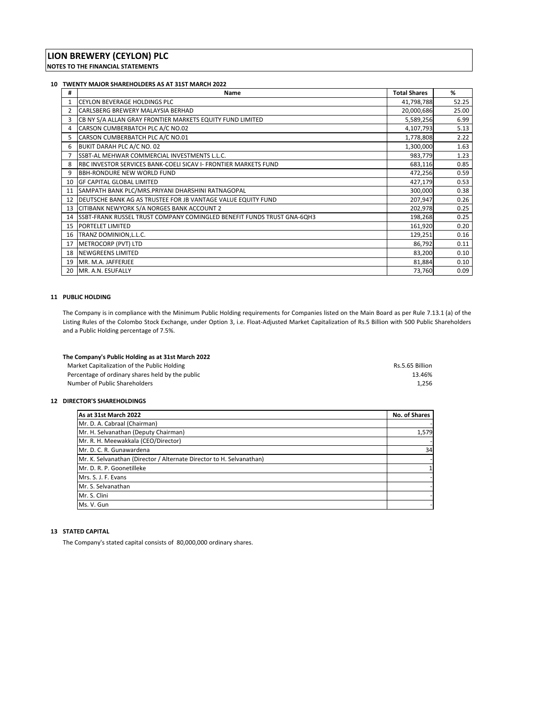#### **10 TWENTY MAJOR SHAREHOLDERS AS AT 31ST MARCH 2022**

| #  | Name                                                                           | <b>Total Shares</b> | %     |
|----|--------------------------------------------------------------------------------|---------------------|-------|
|    | <b>CEYLON BEVERAGE HOLDINGS PLC</b>                                            | 41,798,788          | 52.25 |
| 2  | CARLSBERG BREWERY MALAYSIA BERHAD                                              | 20,000,686          | 25.00 |
| 3  | CB NY S/A ALLAN GRAY FRONTIER MARKETS EQUITY FUND LIMITED                      | 5,589,256           | 6.99  |
| 4  | CARSON CUMBERBATCH PLC A/C NO.02                                               | 4,107,793           | 5.13  |
| 5  | CARSON CUMBERBATCH PLC A/C NO.01                                               | 1,778,808           | 2.22  |
| 6  | BUKIT DARAH PLC A/C NO. 02                                                     | 1,300,000           | 1.63  |
|    | SSBT-AL MEHWAR COMMERCIAL INVESTMENTS L.L.C.                                   | 983,779             | 1.23  |
| 8  | RBC INVESTOR SERVICES BANK-COELI SICAV I- FRONTIER MARKETS FUND                | 683,116             | 0.85  |
| 9  | <b>BBH-RONDURE NEW WORLD FUND</b>                                              | 472,256             | 0.59  |
|    | 10 GF CAPITAL GLOBAL LIMITED                                                   | 427,179             | 0.53  |
| 11 | SAMPATH BANK PLC/MRS.PRIYANI DHARSHINI RATNAGOPAL                              | 300,000             | 0.38  |
| 12 | DEUTSCHE BANK AG AS TRUSTEE FOR JB VANTAGE VALUE EQUITY FUND                   | 207,947             | 0.26  |
| 13 | CITIBANK NEWYORK S/A NORGES BANK ACCOUNT 2                                     | 202,978             | 0.25  |
| 14 | <b>ISSBT-FRANK RUSSEL TRUST COMPANY COMINGLED BENEFIT FUNDS TRUST GNA-6QH3</b> | 198,268             | 0.25  |
| 15 | PORTELET LIMITED                                                               | 161,920             | 0.20  |
| 16 | TRANZ DOMINION, L.L.C.                                                         | 129,251             | 0.16  |
| 17 | METROCORP (PVT) LTD                                                            | 86,792              | 0.11  |
| 18 | <b>NEWGREENS LIMITED</b>                                                       | 83,200              | 0.10  |
| 19 | MR. M.A. JAFFERJEE                                                             | 81,884              | 0.10  |
| 20 | MR. A.N. ESUFALLY                                                              | 73,760              | 0.09  |

#### **11 PUBLIC HOLDING**

The Company is in compliance with the Minimum Public Holding requirements for Companies listed on the Main Board as per Rule 7.13.1 (a) of the Listing Rules of the Colombo Stock Exchange, under Option 3, i.e. Float‐Adjusted Market Capitalization of Rs.5 Billion with 500 Public Shareholders and a Public Holding percentage of 7.5%.

| The Company's Public Holding as at 31st March 2022 |                 |
|----------------------------------------------------|-----------------|
| Market Capitalization of the Public Holding        | Rs.5.65 Billion |
| Percentage of ordinary shares held by the public   | 13.46%          |
| Number of Public Shareholders                      | 1.256           |

#### **12 DIRECTOR'S SHAREHOLDINGS**

| As at 31st March 2022                                                | No. of Shares |
|----------------------------------------------------------------------|---------------|
| Mr. D. A. Cabraal (Chairman)                                         |               |
| Mr. H. Selvanathan (Deputy Chairman)                                 | 1,579         |
| Mr. R. H. Meewakkala (CEO/Director)                                  |               |
| Mr. D. C. R. Gunawardena                                             | 34            |
| Mr. K. Selvanathan (Director / Alternate Director to H. Selvanathan) |               |
| Mr. D. R. P. Goonetilleke                                            |               |
| Mrs. S. J. F. Evans                                                  |               |
| Mr. S. Selvanathan                                                   |               |
| Mr. S. Clini                                                         |               |
| Ms. V. Gun                                                           |               |

#### **13 STATED CAPITAL**

The Company's stated capital consists of 80,000,000 ordinary shares.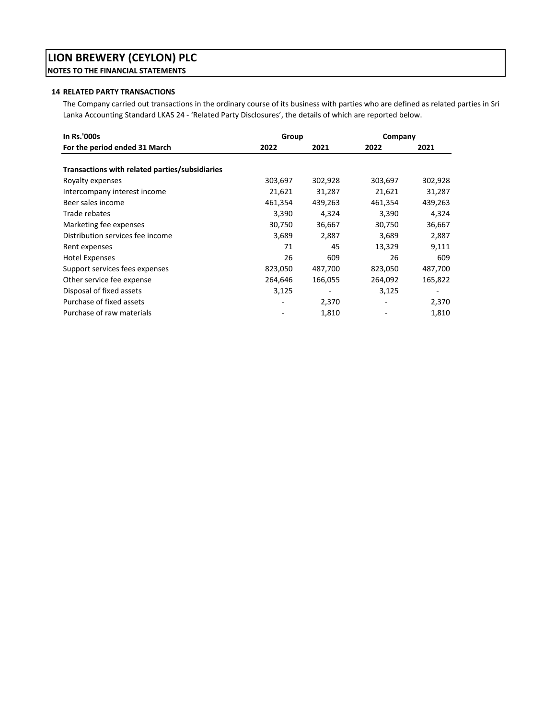# **LION BREWERY (CEYLON) PLC NOTES TO THE FINANCIAL STATEMENTS**

### **14 RELATED PARTY TRANSACTIONS**

The Company carried out transactions in the ordinary course of its business with parties who are defined as related parties in Sri Lanka Accounting Standard LKAS 24 ‐ 'Related Party Disclosures', the details of which are reported below.

| In Rs.'000s                                    | Group   |         | Company |         |
|------------------------------------------------|---------|---------|---------|---------|
| For the period ended 31 March                  | 2022    | 2021    | 2022    | 2021    |
|                                                |         |         |         |         |
| Transactions with related parties/subsidiaries |         |         |         |         |
| Royalty expenses                               | 303,697 | 302,928 | 303,697 | 302,928 |
| Intercompany interest income                   | 21,621  | 31,287  | 21,621  | 31,287  |
| Beer sales income                              | 461,354 | 439,263 | 461,354 | 439,263 |
| Trade rebates                                  | 3,390   | 4,324   | 3,390   | 4,324   |
| Marketing fee expenses                         | 30,750  | 36,667  | 30,750  | 36,667  |
| Distribution services fee income               | 3,689   | 2,887   | 3,689   | 2,887   |
| Rent expenses                                  | 71      | 45      | 13,329  | 9,111   |
| <b>Hotel Expenses</b>                          | 26      | 609     | 26      | 609     |
| Support services fees expenses                 | 823,050 | 487,700 | 823,050 | 487,700 |
| Other service fee expense                      | 264,646 | 166,055 | 264,092 | 165,822 |
| Disposal of fixed assets                       | 3,125   |         | 3,125   |         |
| Purchase of fixed assets                       |         | 2,370   |         | 2,370   |
| Purchase of raw materials                      |         | 1,810   |         | 1,810   |